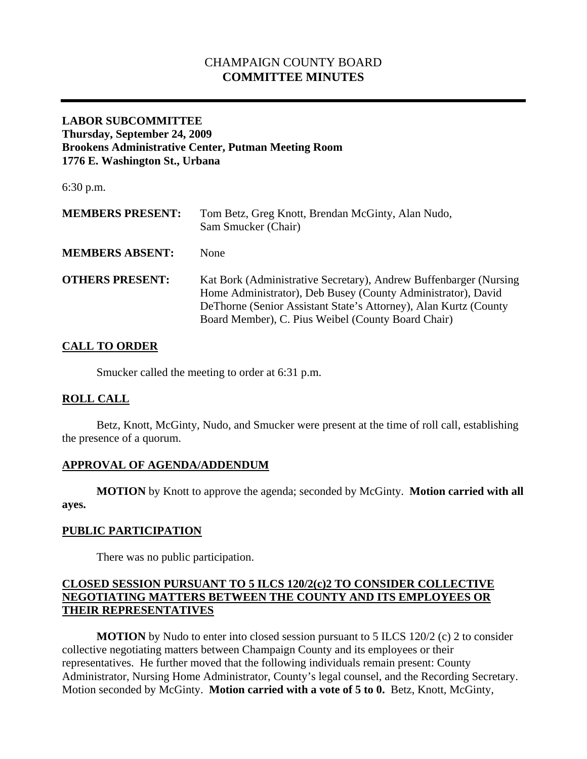# CHAMPAIGN COUNTY BOARD **COMMITTEE MINUTES**

## **LABOR SUBCOMMITTEE Thursday, September 24, 2009 Brookens Administrative Center, Putman Meeting Room 1776 E. Washington St., Urbana**

6:30 p.m.

| <b>MEMBERS PRESENT:</b> | Tom Betz, Greg Knott, Brendan McGinty, Alan Nudo,<br>Sam Smucker (Chair)                                                                                                                                                                                      |
|-------------------------|---------------------------------------------------------------------------------------------------------------------------------------------------------------------------------------------------------------------------------------------------------------|
| <b>MEMBERS ABSENT:</b>  | <b>None</b>                                                                                                                                                                                                                                                   |
| <b>OTHERS PRESENT:</b>  | Kat Bork (Administrative Secretary), Andrew Buffenbarger (Nursing)<br>Home Administrator), Deb Busey (County Administrator), David<br>De Thorne (Senior Assistant State's Attorney), Alan Kurtz (County<br>Board Member), C. Pius Weibel (County Board Chair) |

# **CALL TO ORDER**

Smucker called the meeting to order at 6:31 p.m.

# **ROLL CALL**

 Betz, Knott, McGinty, Nudo, and Smucker were present at the time of roll call, establishing the presence of a quorum.

# **APPROVAL OF AGENDA/ADDENDUM**

 **MOTION** by Knott to approve the agenda; seconded by McGinty. **Motion carried with all ayes.** 

# **PUBLIC PARTICIPATION**

There was no public participation.

## **CLOSED SESSION PURSUANT TO 5 ILCS 120/2(c)2 TO CONSIDER COLLECTIVE NEGOTIATING MATTERS BETWEEN THE COUNTY AND ITS EMPLOYEES OR THEIR REPRESENTATIVES**

**MOTION** by Nudo to enter into closed session pursuant to 5 ILCS 120/2 (c) 2 to consider collective negotiating matters between Champaign County and its employees or their representatives. He further moved that the following individuals remain present: County Administrator, Nursing Home Administrator, County's legal counsel, and the Recording Secretary. Motion seconded by McGinty. **Motion carried with a vote of 5 to 0.** Betz, Knott, McGinty,